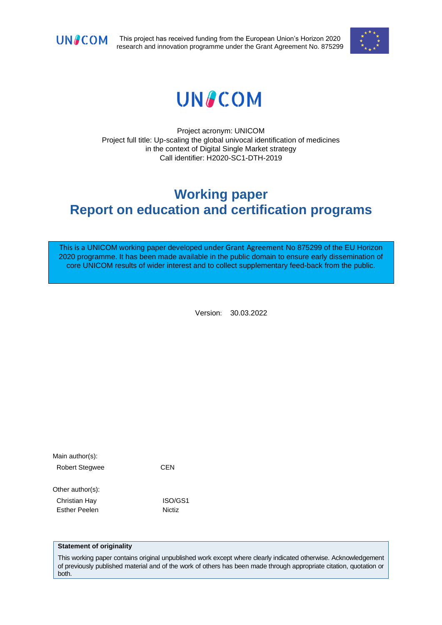

This project has received funding from the European Union's Horizon 2020 research and innovation programme under the Grant Agreement No. 875299



# **UNACOM**

Project acronym: UNICOM Project full title: Up-scaling the global univocal identification of medicines in the context of Digital Single Market strategy Call identifier: H2020-SC1-DTH-2019

# **Working paper Report on education and certification programs**

This is a UNICOM working paper developed under Grant Agreement No 875299 of the EU Horizon 2020 programme. It has been made available in the public domain to ensure early dissemination of core UNICOM results of wider interest and to collect supplementary feed-back from the public.

Version: 30.03.2022

| Main author(s):      |         |
|----------------------|---------|
| Robert Stegwee       | CEN     |
| Other author(s):     |         |
| Christian Hay        | ISO/GS1 |
| <b>Esther Peelen</b> | Nictiz  |

#### **Statement of originality**

This working paper contains original unpublished work except where clearly indicated otherwise. Acknowledgement of previously published material and of the work of others has been made through appropriate citation, quotation or both.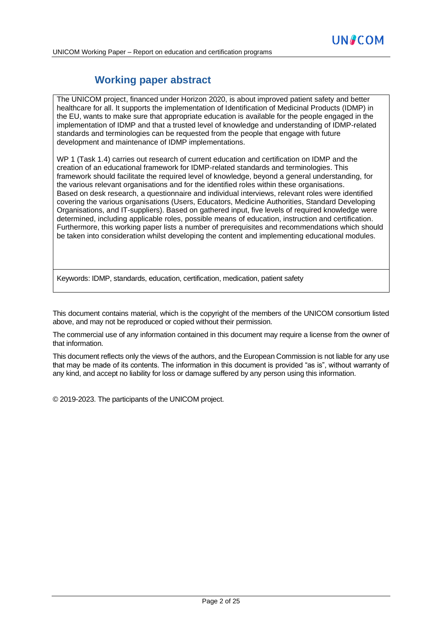# **Working paper abstract**

[The UNICOM project,](https://unicom-project.eu/) financed under Horizon 2020, is about improved patient safety and better healthcare for all. It supports the implementation of Identification of Medicinal Products (IDMP) in the EU, wants to make sure that appropriate education is available for the people engaged in the implementation of IDMP and that a trusted level of knowledge and understanding of IDMP-related standards and terminologies can be requested from the people that engage with future development and maintenance of IDMP implementations.

WP 1 (Task 1.4) carries out research of current education and certification on IDMP and the creation of an educational framework for IDMP-related standards and terminologies. This framework should facilitate the required level of knowledge, beyond a general understanding, for the various relevant organisations and for the identified roles within these organisations. Based on desk research, a questionnaire and individual interviews, relevant roles were identified covering the various organisations (Users, Educators, Medicine Authorities, Standard Developing Organisations, and IT-suppliers). Based on gathered input, five levels of required knowledge were determined, including applicable roles, possible means of education, instruction and certification. Furthermore, this working paper lists a number of prerequisites and recommendations which should be taken into consideration whilst developing the content and implementing educational modules.

Keywords: IDMP, standards, education, certification, medication, patient safety

This document contains material, which is the copyright of the members of the UNICOM consortium listed above, and may not be reproduced or copied without their permission.

The commercial use of any information contained in this document may require a license from the owner of that information.

This document reflects only the views of the authors, and the European Commission is not liable for any use that may be made of its contents. The information in this document is provided "as is", without warranty of any kind, and accept no liability for loss or damage suffered by any person using this information.

© 2019-2023. The participants of the UNICOM project.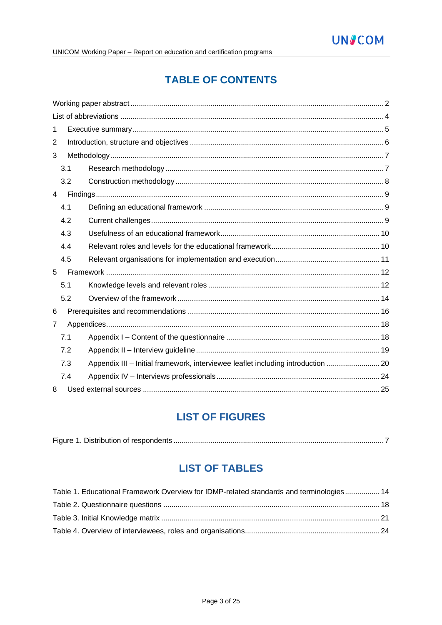# **TABLE OF CONTENTS**

| 1 |     |                                                                                  |  |
|---|-----|----------------------------------------------------------------------------------|--|
| 2 |     |                                                                                  |  |
| 3 |     |                                                                                  |  |
|   | 3.1 |                                                                                  |  |
|   | 3.2 |                                                                                  |  |
| 4 |     |                                                                                  |  |
|   | 4.1 |                                                                                  |  |
|   | 4.2 |                                                                                  |  |
|   | 4.3 |                                                                                  |  |
|   | 4.4 |                                                                                  |  |
|   | 4.5 |                                                                                  |  |
| 5 |     |                                                                                  |  |
|   | 5.1 |                                                                                  |  |
|   | 5.2 |                                                                                  |  |
| 6 |     |                                                                                  |  |
| 7 |     |                                                                                  |  |
|   | 7.1 |                                                                                  |  |
|   | 7.2 |                                                                                  |  |
|   | 7.3 | Appendix III - Initial framework, interviewee leaflet including introduction  20 |  |
|   | 7.4 |                                                                                  |  |
| 8 |     |                                                                                  |  |

# **LIST OF FIGURES**

|--|

# **LIST OF TABLES**

| Table 1. Educational Framework Overview for IDMP-related standards and terminologies 14 |  |
|-----------------------------------------------------------------------------------------|--|
|                                                                                         |  |
|                                                                                         |  |
|                                                                                         |  |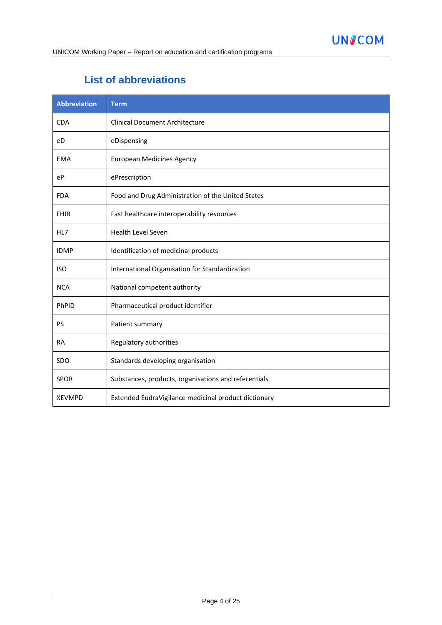# **List of abbreviations**

| <b>Abbreviation</b> | <b>Term</b>                                          |
|---------------------|------------------------------------------------------|
| <b>CDA</b>          | <b>Clinical Document Architecture</b>                |
| eD                  | eDispensing                                          |
| <b>EMA</b>          | <b>European Medicines Agency</b>                     |
| eP                  | ePrescription                                        |
| <b>FDA</b>          | Food and Drug Administration of the United States    |
| <b>FHIR</b>         | Fast healthcare interoperability resources           |
| HL7                 | <b>Health Level Seven</b>                            |
| <b>IDMP</b>         | Identification of medicinal products                 |
| <b>ISO</b>          | International Organisation for Standardization       |
| <b>NCA</b>          | National competent authority                         |
| PhPID               | Pharmaceutical product identifier                    |
| <b>PS</b>           | Patient summary                                      |
| <b>RA</b>           | Regulatory authorities                               |
| <b>SDO</b>          | Standards developing organisation                    |
| <b>SPOR</b>         | Substances, products, organisations and referentials |
| <b>XEVMPD</b>       | Extended EudraVigilance medicinal product dictionary |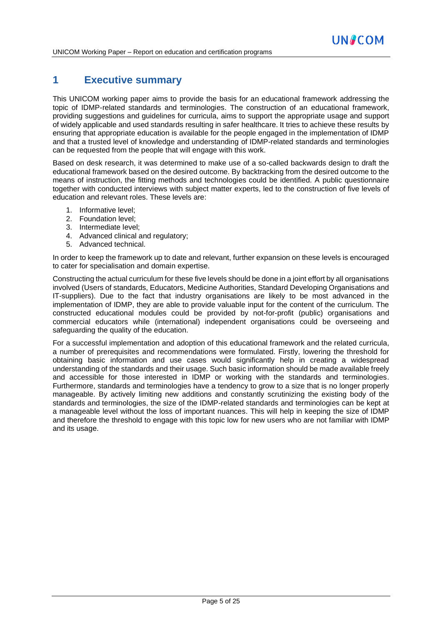# **1 Executive summary**

This UNICOM working paper aims to provide the basis for an educational framework addressing the topic of IDMP-related standards and terminologies. The construction of an educational framework, providing suggestions and guidelines for curricula, aims to support the appropriate usage and support of widely applicable and used standards resulting in safer healthcare. It tries to achieve these results by ensuring that appropriate education is available for the people engaged in the implementation of IDMP and that a trusted level of knowledge and understanding of IDMP-related standards and terminologies can be requested from the people that will engage with this work.

Based on desk research, it was determined to make use of a so-called backwards design to draft the educational framework based on the desired outcome. By backtracking from the desired outcome to the means of instruction, the fitting methods and technologies could be identified. A public questionnaire together with conducted interviews with subject matter experts, led to the construction of five levels of education and relevant roles. These levels are:

- 1. Informative level;
- 2. Foundation level;
- 3. Intermediate level;
- 4. Advanced clinical and regulatory;
- 5. Advanced technical.

In order to keep the framework up to date and relevant, further expansion on these levels is encouraged to cater for specialisation and domain expertise.

Constructing the actual curriculum for these five levels should be done in a joint effort by all organisations involved (Users of standards, Educators, Medicine Authorities, Standard Developing Organisations and IT-suppliers). Due to the fact that industry organisations are likely to be most advanced in the implementation of IDMP, they are able to provide valuable input for the content of the curriculum. The constructed educational modules could be provided by not-for-profit (public) organisations and commercial educators while (international) independent organisations could be overseeing and safeguarding the quality of the education.

For a successful implementation and adoption of this educational framework and the related curricula, a number of prerequisites and recommendations were formulated. Firstly, lowering the threshold for obtaining basic information and use cases would significantly help in creating a widespread understanding of the standards and their usage. Such basic information should be made available freely and accessible for those interested in IDMP or working with the standards and terminologies. Furthermore, standards and terminologies have a tendency to grow to a size that is no longer properly manageable. By actively limiting new additions and constantly scrutinizing the existing body of the standards and terminologies, the size of the IDMP-related standards and terminologies can be kept at a manageable level without the loss of important nuances. This will help in keeping the size of IDMP and therefore the threshold to engage with this topic low for new users who are not familiar with IDMP and its usage.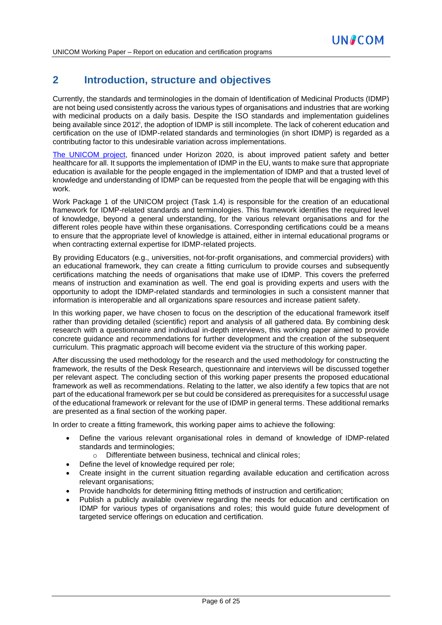# **2 Introduction, structure and objectives**

Currently, the standards and terminologies in the domain of Identification of Medicinal Products (IDMP) are not being used consistently across the various types of organisations and industries that are working with medicinal products on a daily basis. Despite the ISO standards and implementation guidelines being available since 2012<sup>i</sup>, the adoption of IDMP is still incomplete. The lack of coherent education and certification on the use of IDMP-related standards and terminologies (in short IDMP) is regarded as a contributing factor to this undesirable variation across implementations.

[The UNICOM project,](https://unicom-project.eu/) financed under Horizon 2020, is about improved patient safety and better healthcare for all. It supports the implementation of IDMP in the EU, wants to make sure that appropriate education is available for the people engaged in the implementation of IDMP and that a trusted level of knowledge and understanding of IDMP can be requested from the people that will be engaging with this work.

Work Package 1 of the UNICOM project (Task 1.4) is responsible for the creation of an educational framework for IDMP-related standards and terminologies. This framework identifies the required level of knowledge, beyond a general understanding, for the various relevant organisations and for the different roles people have within these organisations. Corresponding certifications could be a means to ensure that the appropriate level of knowledge is attained, either in internal educational programs or when contracting external expertise for IDMP-related projects.

By providing Educators (e.g., universities, not-for-profit organisations, and commercial providers) with an educational framework, they can create a fitting curriculum to provide courses and subsequently certifications matching the needs of organisations that make use of IDMP. This covers the preferred means of instruction and examination as well. The end goal is providing experts and users with the opportunity to adopt the IDMP-related standards and terminologies in such a consistent manner that information is interoperable and all organizations spare resources and increase patient safety.

In this working paper, we have chosen to focus on the description of the educational framework itself rather than providing detailed (scientific) report and analysis of all gathered data. By combining desk research with a questionnaire and individual in-depth interviews, this working paper aimed to provide concrete guidance and recommendations for further development and the creation of the subsequent curriculum. This pragmatic approach will become evident via the structure of this working paper.

After discussing the used methodology for the research and the used methodology for constructing the framework, the results of the Desk Research, questionnaire and interviews will be discussed together per relevant aspect. The concluding section of this working paper presents the proposed educational framework as well as recommendations. Relating to the latter, we also identify a few topics that are not part of the educational framework per se but could be considered as prerequisites for a successful usage of the educational framework or relevant for the use of IDMP in general terms. These additional remarks are presented as a final section of the working paper*.*

In order to create a fitting framework, this working paper aims to achieve the following:

- Define the various relevant organisational roles in demand of knowledge of IDMP-related standards and terminologies;
	- o Differentiate between business, technical and clinical roles;
	- Define the level of knowledge required per role;
- Create insight in the current situation regarding available education and certification across relevant organisations;
- Provide handholds for determining fitting methods of instruction and certification;
- Publish a publicly available overview regarding the needs for education and certification on IDMP for various types of organisations and roles; this would guide future development of targeted service offerings on education and certification.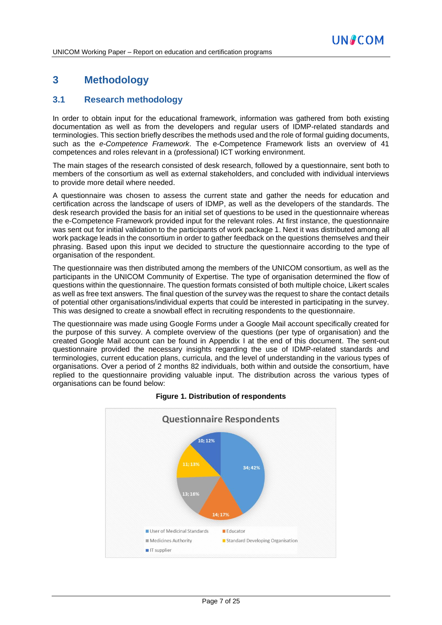# **3 Methodology**

# **3.1 Research methodology**

In order to obtain input for the educational framework, information was gathered from both existing documentation as well as from the developers and regular users of IDMP-related standards and terminologies. This section briefly describes the methods used and the role of formal guiding documents, such as the *e-Competence Framework*. The e-Competence Framework lists an overview of 41 competences and roles relevant in a (professional) ICT working environment.

The main stages of the research consisted of desk research, followed by a questionnaire, sent both to members of the consortium as well as external stakeholders, and concluded with individual interviews to provide more detail where needed.

A questionnaire was chosen to assess the current state and gather the needs for education and certification across the landscape of users of IDMP, as well as the developers of the standards. The desk research provided the basis for an initial set of questions to be used in the questionnaire whereas the e-Competence Framework provided input for the relevant roles. At first instance, the questionnaire was sent out for initial validation to the participants of work package 1. Next it was distributed among all work package leads in the consortium in order to gather feedback on the questions themselves and their phrasing. Based upon this input we decided to structure the questionnaire according to the type of organisation of the respondent.

The questionnaire was then distributed among the members of the UNICOM consortium, as well as the participants in the UNICOM Community of Expertise. The type of organisation determined the flow of questions within the questionnaire. The question formats consisted of both multiple choice, Likert scales as well as free text answers. The final question of the survey was the request to share the contact details of potential other organisations/individual experts that could be interested in participating in the survey. This was designed to create a snowball effect in recruiting respondents to the questionnaire.

The questionnaire was made using Google Forms under a Google Mail account specifically created for the purpose of this survey. A complete overview of the questions (per type of organisation) and the created Google Mail account can be found in Appendix I at the end of this document. The sent-out questionnaire provided the necessary insights regarding the use of IDMP-related standards and terminologies, current education plans, curricula, and the level of understanding in the various types of organisations. Over a period of 2 months 82 individuals, both within and outside the consortium, have replied to the questionnaire providing valuable input. The distribution across the various types of organisations can be found below:



#### **Figure 1. Distribution of respondents**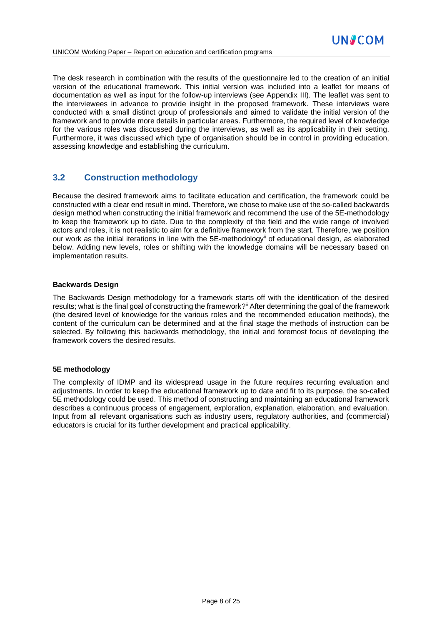The desk research in combination with the results of the questionnaire led to the creation of an initial version of the educational framework. This initial version was included into a leaflet for means of documentation as well as input for the follow-up interviews (see Appendix III). The leaflet was sent to the interviewees in advance to provide insight in the proposed framework. These interviews were conducted with a small distinct group of professionals and aimed to validate the initial version of the framework and to provide more details in particular areas. Furthermore, the required level of knowledge for the various roles was discussed during the interviews, as well as its applicability in their setting. Furthermore, it was discussed which type of organisation should be in control in providing education, assessing knowledge and establishing the curriculum.

# **3.2 Construction methodology**

Because the desired framework aims to facilitate education and certification, the framework could be constructed with a clear end result in mind. Therefore, we chose to make use of the so-called backwards design method when constructing the initial framework and recommend the use of the 5E-methodology to keep the framework up to date. Due to the complexity of the field and the wide range of involved actors and roles, it is not realistic to aim for a definitive framework from the start. Therefore, we position our work as the initial iterations in line with the 5E-methodology<sup>ii</sup> of educational design, as elaborated below. Adding new levels, roles or shifting with the knowledge domains will be necessary based on implementation results.

#### **Backwards Design**

The Backwards Design methodology for a framework starts off with the identification of the desired results; what is the final goal of constructing the framework?<sup>ii</sup> After determining the goal of the framework (the desired level of knowledge for the various roles and the recommended education methods), the content of the curriculum can be determined and at the final stage the methods of instruction can be selected. By following this backwards methodology, the initial and foremost focus of developing the framework covers the desired results.

#### **5E methodology**

The complexity of IDMP and its widespread usage in the future requires recurring evaluation and adjustments. In order to keep the educational framework up to date and fit to its purpose, the so-called 5E methodology could be used. This method of constructing and maintaining an educational framework describes a continuous process of engagement, exploration, explanation, elaboration, and evaluation. Input from all relevant organisations such as industry users, regulatory authorities, and (commercial) educators is crucial for its further development and practical applicability.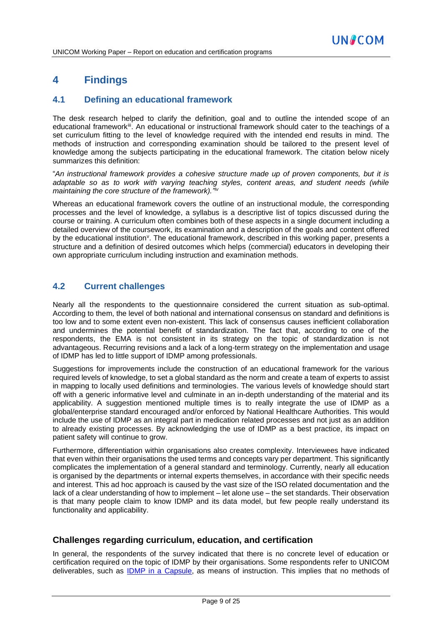# **4 Findings**

### **4.1 Defining an educational framework**

The desk research helped to clarify the definition, goal and to outline the intended scope of an educational framework<sup>iii</sup>. An educational or instructional framework should cater to the teachings of a set curriculum fitting to the level of knowledge required with the intended end results in mind. The methods of instruction and corresponding examination should be tailored to the present level of knowledge among the subjects participating in the educational framework. The citation below nicely summarizes this definition:

"*An instructional framework provides a cohesive structure made up of proven components, but it is adaptable so as to work with varying teaching styles, content areas, and student needs (while maintaining the core structure of the framework)." iv*

Whereas an educational framework covers the outline of an instructional module, the corresponding processes and the level of knowledge, a syllabus is a descriptive list of topics discussed during the course or training. A curriculum often combines both of these aspects in a single document including a detailed overview of the coursework, its examination and a description of the goals and content offered by the educational institution<sup>v</sup>. The educational framework, described in this working paper, presents a structure and a definition of desired outcomes which helps (commercial) educators in developing their own appropriate curriculum including instruction and examination methods.

### **4.2 Current challenges**

Nearly all the respondents to the questionnaire considered the current situation as sub-optimal. According to them, the level of both national and international consensus on standard and definitions is too low and to some extent even non-existent. This lack of consensus causes inefficient collaboration and undermines the potential benefit of standardization. The fact that, according to one of the respondents, the EMA is not consistent in its strategy on the topic of standardization is not advantageous. Recurring revisions and a lack of a long-term strategy on the implementation and usage of IDMP has led to little support of IDMP among professionals.

Suggestions for improvements include the construction of an educational framework for the various required levels of knowledge, to set a global standard as the norm and create a team of experts to assist in mapping to locally used definitions and terminologies. The various levels of knowledge should start off with a generic informative level and culminate in an in-depth understanding of the material and its applicability. A suggestion mentioned multiple times is to really integrate the use of IDMP as a global/enterprise standard encouraged and/or enforced by National Healthcare Authorities. This would include the use of IDMP as an integral part in medication related processes and not just as an addition to already existing processes. By acknowledging the use of IDMP as a best practice, its impact on patient safety will continue to grow.

Furthermore, differentiation within organisations also creates complexity. Interviewees have indicated that even within their organisations the used terms and concepts vary per department. This significantly complicates the implementation of a general standard and terminology. Currently, nearly all education is organised by the departments or internal experts themselves, in accordance with their specific needs and interest. This ad hoc approach is caused by the vast size of the ISO related documentation and the lack of a clear understanding of how to implement – let alone use – the set standards. Their observation is that many people claim to know IDMP and its data model, but few people really understand its functionality and applicability.

### **Challenges regarding curriculum, education, and certification**

In general, the respondents of the survey indicated that there is no concrete level of education or certification required on the topic of IDMP by their organisations. Some respondents refer to UNICOM deliverables, such as [IDMP in a Capsule,](https://bit.ly/IDMP_in_a_capsule) as means of instruction. This implies that no methods of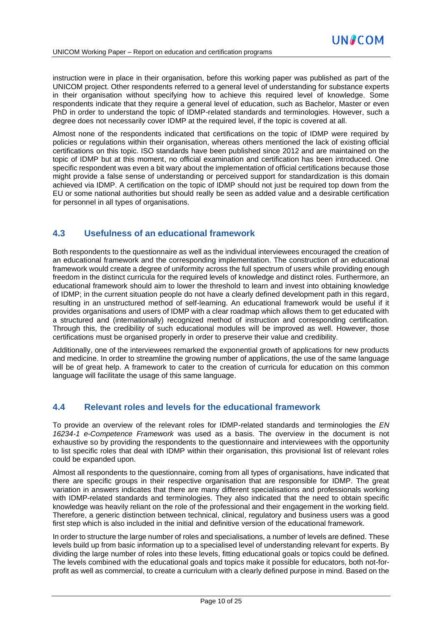instruction were in place in their organisation, before this working paper was published as part of the UNICOM project. Other respondents referred to a general level of understanding for substance experts in their organisation without specifying how to achieve this required level of knowledge. Some respondents indicate that they require a general level of education, such as Bachelor, Master or even PhD in order to understand the topic of IDMP-related standards and terminologies. However, such a degree does not necessarily cover IDMP at the required level, if the topic is covered at all.

Almost none of the respondents indicated that certifications on the topic of IDMP were required by policies or regulations within their organisation, whereas others mentioned the lack of existing official certifications on this topic. ISO standards have been published since 2012 and are maintained on the topic of IDMP but at this moment, no official examination and certification has been introduced. One specific respondent was even a bit wary about the implementation of official certifications because those might provide a false sense of understanding or perceived support for standardization is this domain achieved via IDMP. A certification on the topic of IDMP should not just be required top down from the EU or some national authorities but should really be seen as added value and a desirable certification for personnel in all types of organisations.

### **4.3 Usefulness of an educational framework**

Both respondents to the questionnaire as well as the individual interviewees encouraged the creation of an educational framework and the corresponding implementation. The construction of an educational framework would create a degree of uniformity across the full spectrum of users while providing enough freedom in the distinct curricula for the required levels of knowledge and distinct roles. Furthermore, an educational framework should aim to lower the threshold to learn and invest into obtaining knowledge of IDMP; in the current situation people do not have a clearly defined development path in this regard, resulting in an unstructured method of self-learning. An educational framework would be useful if it provides organisations and users of IDMP with a clear roadmap which allows them to get educated with a structured and (internationally) recognized method of instruction and corresponding certification. Through this, the credibility of such educational modules will be improved as well. However, those certifications must be organised properly in order to preserve their value and credibility.

Additionally, one of the interviewees remarked the exponential growth of applications for new products and medicine. In order to streamline the growing number of applications, the use of the same language will be of great help. A framework to cater to the creation of curricula for education on this common language will facilitate the usage of this same language.

#### **4.4 Relevant roles and levels for the educational framework**

To provide an overview of the relevant roles for IDMP-related standards and terminologies the *EN 16234-1 e-Competence Framework* was used as a basis. The overview in the document is not exhaustive so by providing the respondents to the questionnaire and interviewees with the opportunity to list specific roles that deal with IDMP within their organisation, this provisional list of relevant roles could be expanded upon.

Almost all respondents to the questionnaire, coming from all types of organisations, have indicated that there are specific groups in their respective organisation that are responsible for IDMP. The great variation in answers indicates that there are many different specialisations and professionals working with IDMP-related standards and terminologies. They also indicated that the need to obtain specific knowledge was heavily reliant on the role of the professional and their engagement in the working field. Therefore, a generic distinction between technical, clinical, regulatory and business users was a good first step which is also included in the initial and definitive version of the educational framework.

In order to structure the large number of roles and specialisations, a number of levels are defined. These levels build up from basic information up to a specialised level of understanding relevant for experts. By dividing the large number of roles into these levels, fitting educational goals or topics could be defined. The levels combined with the educational goals and topics make it possible for educators, both not-forprofit as well as commercial, to create a curriculum with a clearly defined purpose in mind. Based on the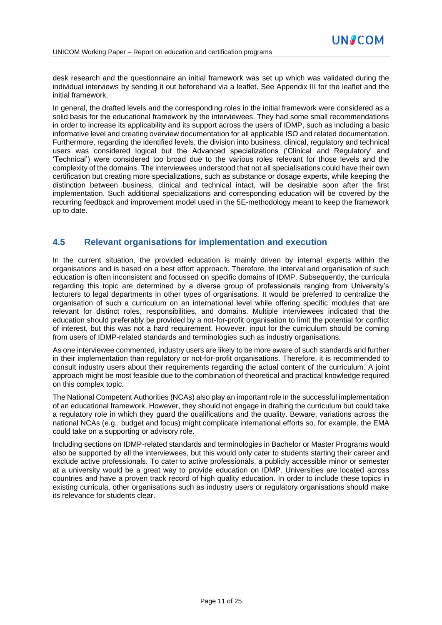desk research and the questionnaire an initial framework was set up which was validated during the individual interviews by sending it out beforehand via a leaflet. See Appendix III for the leaflet and the initial framework.

In general, the drafted levels and the corresponding roles in the initial framework were considered as a solid basis for the educational framework by the interviewees. They had some small recommendations in order to increase its applicability and its support across the users of IDMP, such as including a basic informative level and creating overview documentation for all applicable ISO and related documentation. Furthermore, regarding the identified levels, the division into business, clinical, regulatory and technical users was considered logical but the Advanced specializations ('Clinical and Regulatory' and 'Technical') were considered too broad due to the various roles relevant for those levels and the complexity of the domains. The interviewees understood that not all specialisations could have their own certification but creating more specializations, such as substance or dosage experts, while keeping the distinction between business, clinical and technical intact, will be desirable soon after the first implementation. Such additional specializations and corresponding education will be covered by the recurring feedback and improvement model used in the 5E-methodology meant to keep the framework up to date.

### **4.5 Relevant organisations for implementation and execution**

In the current situation, the provided education is mainly driven by internal experts within the organisations and is based on a best effort approach. Therefore, the interval and organisation of such education is often inconsistent and focussed on specific domains of IDMP. Subsequently, the curricula regarding this topic are determined by a diverse group of professionals ranging from University's lecturers to legal departments in other types of organisations. It would be preferred to centralize the organisation of such a curriculum on an international level while offering specific modules that are relevant for distinct roles, responsibilities, and domains. Multiple interviewees indicated that the education should preferably be provided by a not-for-profit organisation to limit the potential for conflict of interest, but this was not a hard requirement. However, input for the curriculum should be coming from users of IDMP-related standards and terminologies such as industry organisations.

As one interviewee commented, industry users are likely to be more aware of such standards and further in their implementation than regulatory or not-for-profit organisations. Therefore, it is recommended to consult industry users about their requirements regarding the actual content of the curriculum. A joint approach might be most feasible due to the combination of theoretical and practical knowledge required on this complex topic.

The National Competent Authorities (NCAs) also play an important role in the successful implementation of an educational framework. However, they should not engage in drafting the curriculum but could take a regulatory role in which they guard the qualifications and the quality. Beware, variations across the national NCAs (e.g., budget and focus) might complicate international efforts so, for example, the EMA could take on a supporting or advisory role.

Including sections on IDMP-related standards and terminologies in Bachelor or Master Programs would also be supported by all the interviewees, but this would only cater to students starting their career and exclude active professionals. To cater to active professionals, a publicly accessible minor or semester at a university would be a great way to provide education on IDMP. Universities are located across countries and have a proven track record of high quality education. In order to include these topics in existing curricula, other organisations such as industry users or regulatory organisations should make its relevance for students clear.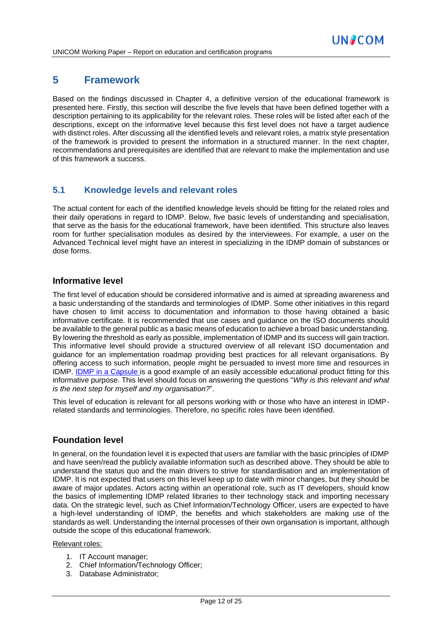# **5 Framework**

Based on the findings discussed in Chapter 4, a definitive version of the educational framework is presented here. Firstly, this section will describe the five levels that have been defined together with a description pertaining to its applicability for the relevant roles. These roles will be listed after each of the descriptions, except on the informative level because this first level does not have a target audience with distinct roles. After discussing all the identified levels and relevant roles, a matrix style presentation of the framework is provided to present the information in a structured manner. In the next chapter, recommendations and prerequisites are identified that are relevant to make the implementation and use of this framework a success.

# **5.1 Knowledge levels and relevant roles**

The actual content for each of the identified knowledge levels should be fitting for the related roles and their daily operations in regard to IDMP. Below, five basic levels of understanding and specialisation, that serve as the basis for the educational framework, have been identified. This structure also leaves room for further specialisation modules as desired by the interviewees. For example, a user on the Advanced Technical level might have an interest in specializing in the IDMP domain of substances or dose forms.

### **Informative level**

The first level of education should be considered informative and is aimed at spreading awareness and a basic understanding of the standards and terminologies of IDMP. Some other initiatives in this regard have chosen to limit access to documentation and information to those having obtained a basic informative certificate. It is recommended that use cases and guidance on the ISO documents should be available to the general public as a basic means of education to achieve a broad basic understanding. By lowering the threshold as early as possible, implementation of IDMP and its success will gain traction. This informative level should provide a structured overview of all relevant ISO documentation and guidance for an implementation roadmap providing best practices for all relevant organisations. By offering access to such information, people might be persuaded to invest more time and resources in IDMP. [IDMP in a Capsule](https://bit.ly/IDMP_in_a_capsule) is a good example of an easily accessible educational product fitting for this informative purpose. This level should focus on answering the questions "*Why is this relevant and what is the next step for myself and my organisation?*".

This level of education is relevant for all persons working with or those who have an interest in IDMPrelated standards and terminologies. Therefore, no specific roles have been identified.

### **Foundation level**

In general, on the foundation level it is expected that users are familiar with the basic principles of IDMP and have seen/read the publicly available information such as described above. They should be able to understand the status quo and the main drivers to strive for standardisation and an implementation of IDMP. It is not expected that users on this level keep up to date with minor changes, but they should be aware of major updates. Actors acting within an operational role, such as IT developers, should know the basics of implementing IDMP related libraries to their technology stack and importing necessary data. On the strategic level, such as Chief Information/Technology Officer, users are expected to have a high-level understanding of IDMP, the benefits and which stakeholders are making use of the standards as well. Understanding the internal processes of their own organisation is important, although outside the scope of this educational framework.

#### Relevant roles:

- 1. IT Account manager;
- 2. Chief Information/Technology Officer;
- 3. Database Administrator;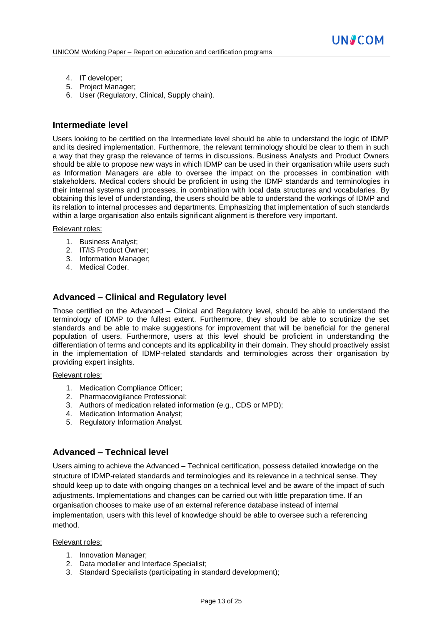- 4. IT developer;
- 5. Project Manager;
- 6. User (Regulatory, Clinical, Supply chain).

#### **Intermediate level**

Users looking to be certified on the Intermediate level should be able to understand the logic of IDMP and its desired implementation. Furthermore, the relevant terminology should be clear to them in such a way that they grasp the relevance of terms in discussions. Business Analysts and Product Owners should be able to propose new ways in which IDMP can be used in their organisation while users such as Information Managers are able to oversee the impact on the processes in combination with stakeholders. Medical coders should be proficient in using the IDMP standards and terminologies in their internal systems and processes, in combination with local data structures and vocabularies. By obtaining this level of understanding, the users should be able to understand the workings of IDMP and its relation to internal processes and departments. Emphasizing that implementation of such standards within a large organisation also entails significant alignment is therefore very important.

#### Relevant roles:

- 1. Business Analyst;
- 2. IT/IS Product Owner;
- 3. Information Manager;
- 4. Medical Coder.

### **Advanced – Clinical and Regulatory level**

Those certified on the Advanced – Clinical and Regulatory level, should be able to understand the terminology of IDMP to the fullest extent. Furthermore, they should be able to scrutinize the set standards and be able to make suggestions for improvement that will be beneficial for the general population of users. Furthermore, users at this level should be proficient in understanding the differentiation of terms and concepts and its applicability in their domain. They should proactively assist in the implementation of IDMP-related standards and terminologies across their organisation by providing expert insights.

#### Relevant roles:

- 1. Medication Compliance Officer;
- 2. Pharmacovigilance Professional;
- 3. Authors of medication related information (e.g., CDS or MPD);
- 4. Medication Information Analyst;
- 5. Regulatory Information Analyst.

### **Advanced – Technical level**

Users aiming to achieve the Advanced – Technical certification, possess detailed knowledge on the structure of IDMP-related standards and terminologies and its relevance in a technical sense. They should keep up to date with ongoing changes on a technical level and be aware of the impact of such adjustments. Implementations and changes can be carried out with little preparation time. If an organisation chooses to make use of an external reference database instead of internal implementation, users with this level of knowledge should be able to oversee such a referencing method.

#### Relevant roles:

- 1. Innovation Manager;
- 2. Data modeller and Interface Specialist;
- 3. Standard Specialists (participating in standard development);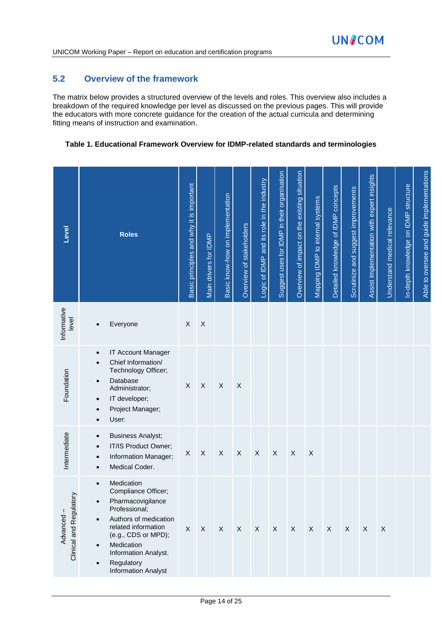# **5.2 Overview of the framework**

The matrix below provides a structured overview of the levels and roles. This overview also includes a breakdown of the required knowledge per level as discussed on the previous pages. This will provide the educators with more concrete guidance for the creation of the actual curricula and determining fitting means of instruction and examination.

#### **Table 1. Educational Framework Overview for IDMP-related standards and terminologies**

| Level                                | <b>Roles</b>                                                                                                                                                                                                                                                                                      | Basic principles and why it is important | Main drivers for IDMP     | Basic know-how on implementation | Overview of stakeholders  | Logic of IDMP and its role in the industry | Suggest uses for IDMP in their organisation | Overview of impact on the existing situation | Mapping IDMP to internal systems | Detailed knowledge of IDMP concepts | Scrutinize and suggest improvements | Assist implementation with expert insights | Understand medical relevance | In-depth knowledge on IDMP structure | Able to oversee and guide implementations |
|--------------------------------------|---------------------------------------------------------------------------------------------------------------------------------------------------------------------------------------------------------------------------------------------------------------------------------------------------|------------------------------------------|---------------------------|----------------------------------|---------------------------|--------------------------------------------|---------------------------------------------|----------------------------------------------|----------------------------------|-------------------------------------|-------------------------------------|--------------------------------------------|------------------------------|--------------------------------------|-------------------------------------------|
| Informative<br>level                 | Everyone<br>$\bullet$                                                                                                                                                                                                                                                                             | X                                        | $\boldsymbol{\mathsf{X}}$ |                                  |                           |                                            |                                             |                                              |                                  |                                     |                                     |                                            |                              |                                      |                                           |
| Foundation                           | IT Account Manager<br>$\bullet$<br>Chief Information/<br>$\bullet$<br>Technology Officer;<br>Database<br>$\bullet$<br>Administrator;<br>IT developer;<br>$\bullet$<br>Project Manager;<br>$\bullet$<br>User:                                                                                      | X                                        | $\boldsymbol{\mathsf{X}}$ | $\boldsymbol{\mathsf{X}}$        | $\boldsymbol{\mathsf{X}}$ |                                            |                                             |                                              |                                  |                                     |                                     |                                            |                              |                                      |                                           |
| Intermediate                         | <b>Business Analyst;</b><br>$\bullet$<br>IT/IS Product Owner;<br>$\bullet$<br>Information Manager;<br>$\bullet$<br>Medical Coder.<br>$\bullet$                                                                                                                                                    | X                                        | $\mathsf X$               | $\boldsymbol{\mathsf{X}}$        | $\mathsf X$               | $\boldsymbol{\mathsf{X}}$                  | X                                           | $\mathsf X$                                  | $\mathsf X$                      |                                     |                                     |                                            |                              |                                      |                                           |
| Clinical and Regulatory<br>Advanced- | Medication<br>$\bullet$<br>Compliance Officer;<br>Pharmacovigilance<br>$\bullet$<br>Professional;<br>Authors of medication<br>$\bullet$<br>related information<br>(e.g., CDS or MPD);<br>Medication<br>$\bullet$<br>Information Analyst.<br>Regulatory<br>$\bullet$<br><b>Information Analyst</b> | X                                        | $\mathsf X$               | $\mathsf{X}$                     | $\mathsf{X}$              | $\mathsf{X}$                               | $\boldsymbol{X}$                            | $\mathsf{X}$                                 | X                                | X                                   | $\mathsf{X}$                        | $\mathsf X$                                | $\mathsf X$                  |                                      |                                           |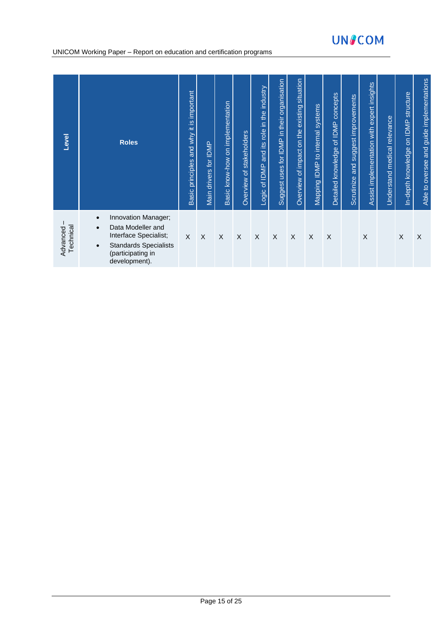# **UNSCOM**

#### UNICOM Working Paper – Report on education and certification programs

| Level                 | <b>Roles</b>                                                                                                                                                                   | Basic principles and why it is important | for IDMP<br>drivers<br>Main | Basic know-how on implementation | Overview of stakeholders | and its role in the industry<br>Logic of IDMP | in their organisation<br>Suggest uses for IDMP | existing situation<br>Overview of impact on the | Mapping IDMP to internal systems | of IDMP concepts<br>Detailed knowledge | and suggest improvements<br><b>Scrutinize</b> | Assist implementation with expert insights | Understand medical relevance | In-depth knowledge on IDMP structure | Able to oversee and guide implementations |
|-----------------------|--------------------------------------------------------------------------------------------------------------------------------------------------------------------------------|------------------------------------------|-----------------------------|----------------------------------|--------------------------|-----------------------------------------------|------------------------------------------------|-------------------------------------------------|----------------------------------|----------------------------------------|-----------------------------------------------|--------------------------------------------|------------------------------|--------------------------------------|-------------------------------------------|
| Technical<br>Advanced | Innovation Manager;<br>$\bullet$<br>Data Modeller and<br>$\bullet$<br>Interface Specialist;<br><b>Standards Specialists</b><br>$\bullet$<br>(participating in<br>development). | X                                        | X                           | X                                | X                        | $\sf X$                                       | X                                              | X                                               | X                                | X                                      |                                               | X                                          |                              | X                                    | X                                         |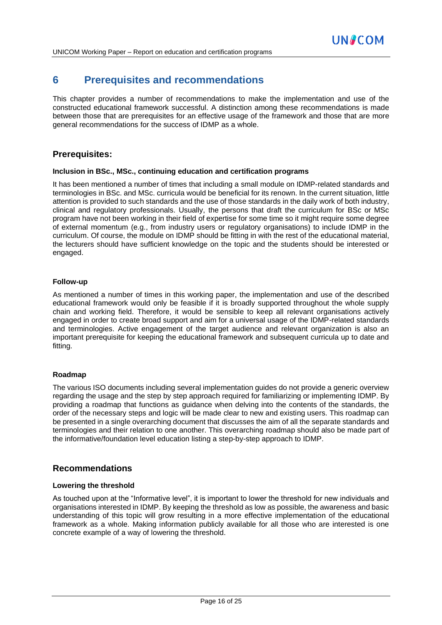# **6 Prerequisites and recommendations**

This chapter provides a number of recommendations to make the implementation and use of the constructed educational framework successful. A distinction among these recommendations is made between those that are prerequisites for an effective usage of the framework and those that are more general recommendations for the success of IDMP as a whole.

#### **Prerequisites:**

#### **Inclusion in BSc., MSc., continuing education and certification programs**

It has been mentioned a number of times that including a small module on IDMP-related standards and terminologies in BSc. and MSc. curricula would be beneficial for its renown. In the current situation, little attention is provided to such standards and the use of those standards in the daily work of both industry, clinical and regulatory professionals. Usually, the persons that draft the curriculum for BSc or MSc program have not been working in their field of expertise for some time so it might require some degree of external momentum (e.g., from industry users or regulatory organisations) to include IDMP in the curriculum. Of course, the module on IDMP should be fitting in with the rest of the educational material, the lecturers should have sufficient knowledge on the topic and the students should be interested or engaged.

#### **Follow-up**

As mentioned a number of times in this working paper, the implementation and use of the described educational framework would only be feasible if it is broadly supported throughout the whole supply chain and working field. Therefore, it would be sensible to keep all relevant organisations actively engaged in order to create broad support and aim for a universal usage of the IDMP-related standards and terminologies. Active engagement of the target audience and relevant organization is also an important prerequisite for keeping the educational framework and subsequent curricula up to date and fitting.

#### **Roadmap**

The various ISO documents including several implementation guides do not provide a generic overview regarding the usage and the step by step approach required for familiarizing or implementing IDMP. By providing a roadmap that functions as guidance when delving into the contents of the standards, the order of the necessary steps and logic will be made clear to new and existing users. This roadmap can be presented in a single overarching document that discusses the aim of all the separate standards and terminologies and their relation to one another. This overarching roadmap should also be made part of the informative/foundation level education listing a step-by-step approach to IDMP.

#### **Recommendations**

#### **Lowering the threshold**

As touched upon at the "Informative level", it is important to lower the threshold for new individuals and organisations interested in IDMP. By keeping the threshold as low as possible, the awareness and basic understanding of this topic will grow resulting in a more effective implementation of the educational framework as a whole. Making information publicly available for all those who are interested is one concrete example of a way of lowering the threshold.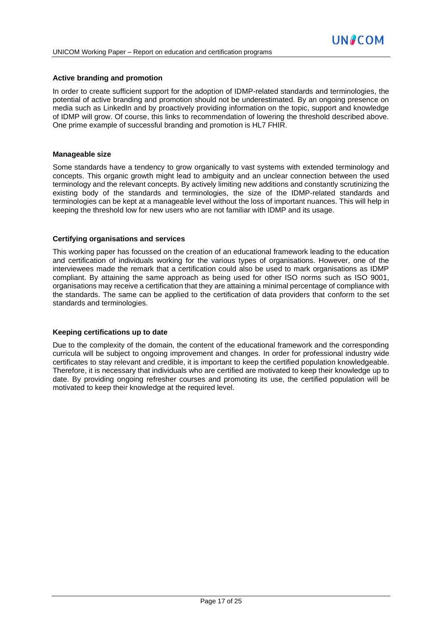#### **Active branding and promotion**

In order to create sufficient support for the adoption of IDMP-related standards and terminologies, the potential of active branding and promotion should not be underestimated. By an ongoing presence on media such as LinkedIn and by proactively providing information on the topic, support and knowledge of IDMP will grow. Of course, this links to recommendation of lowering the threshold described above. One prime example of successful branding and promotion is HL7 FHIR.

#### **Manageable size**

Some standards have a tendency to grow organically to vast systems with extended terminology and concepts. This organic growth might lead to ambiguity and an unclear connection between the used terminology and the relevant concepts. By actively limiting new additions and constantly scrutinizing the existing body of the standards and terminologies, the size of the IDMP-related standards and terminologies can be kept at a manageable level without the loss of important nuances. This will help in keeping the threshold low for new users who are not familiar with IDMP and its usage.

#### **Certifying organisations and services**

This working paper has focussed on the creation of an educational framework leading to the education and certification of individuals working for the various types of organisations. However, one of the interviewees made the remark that a certification could also be used to mark organisations as IDMP compliant. By attaining the same approach as being used for other ISO norms such as ISO 9001, organisations may receive a certification that they are attaining a minimal percentage of compliance with the standards. The same can be applied to the certification of data providers that conform to the set standards and terminologies.

#### **Keeping certifications up to date**

Due to the complexity of the domain, the content of the educational framework and the corresponding curricula will be subject to ongoing improvement and changes. In order for professional industry wide certificates to stay relevant and credible, it is important to keep the certified population knowledgeable. Therefore, it is necessary that individuals who are certified are motivated to keep their knowledge up to date. By providing ongoing refresher courses and promoting its use, the certified population will be motivated to keep their knowledge at the required level.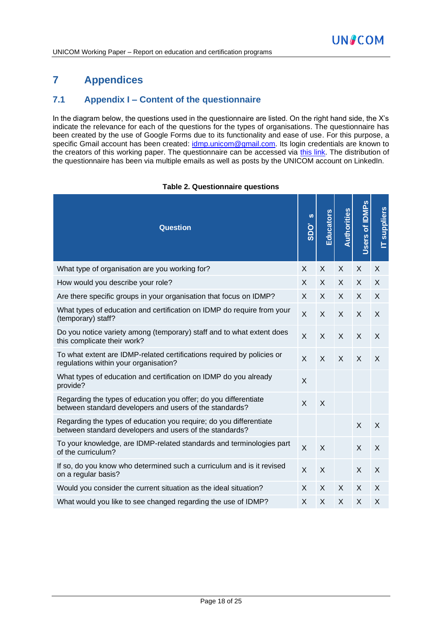# **7 Appendices**

### **7.1 Appendix I – Content of the questionnaire**

In the diagram below, the questions used in the questionnaire are listed. On the right hand side, the X's indicate the relevance for each of the questions for the types of organisations. The questionnaire has been created by the use of Google Forms due to its functionality and ease of use. For this purpose, a specific Gmail account has been created: [idmp.unicom@gmail.com.](mailto:idmp.unicom@gmail.com) Its login credentials are known to the creators of this working paper. The questionnaire can be accessed via [this link.](https://bit.ly/IDMP_Education_Survey) The distribution of the questionnaire has been via multiple emails as well as posts by the UNICOM account on LinkedIn.

| <b>Question</b>                                                                                                               | ဖာ<br>SDO'     | <b>Educators</b> | Authorities | of IDMP <sub>s</sub><br>Users | suppliers |
|-------------------------------------------------------------------------------------------------------------------------------|----------------|------------------|-------------|-------------------------------|-----------|
| What type of organisation are you working for?                                                                                | X              | X                | X           | X                             | X         |
| How would you describe your role?                                                                                             | X              | X                | X           | X                             | X         |
| Are there specific groups in your organisation that focus on IDMP?                                                            | X              | X                | X           | X                             | X         |
| What types of education and certification on IDMP do require from your<br>(temporary) staff?                                  | X              | X                | X           | X                             | X         |
| Do you notice variety among (temporary) staff and to what extent does<br>this complicate their work?                          | $\times$       | $\sf X$          | $\sf X$     | X                             | $\times$  |
| To what extent are IDMP-related certifications required by policies or<br>regulations within your organisation?               | $\times$       | $\sf X$          | X           | X                             | X         |
| What types of education and certification on IDMP do you already<br>provide?                                                  | X              |                  |             |                               |           |
| Regarding the types of education you offer; do you differentiate<br>between standard developers and users of the standards?   | $\times$       | X                |             |                               |           |
| Regarding the types of education you require; do you differentiate<br>between standard developers and users of the standards? |                |                  |             | $\mathsf{X}$                  | X         |
| To your knowledge, are IDMP-related standards and terminologies part<br>of the curriculum?                                    | $\overline{X}$ | $\sf X$          |             | $\mathsf{X}$                  | X         |
| If so, do you know who determined such a curriculum and is it revised<br>on a regular basis?                                  | $\times$       | X                |             | X                             | X         |
| Would you consider the current situation as the ideal situation?                                                              | X              | X                | X           | X                             | X         |
| What would you like to see changed regarding the use of IDMP?                                                                 | X              | X                | X           | X                             | X         |

#### **Table 2. Questionnaire questions**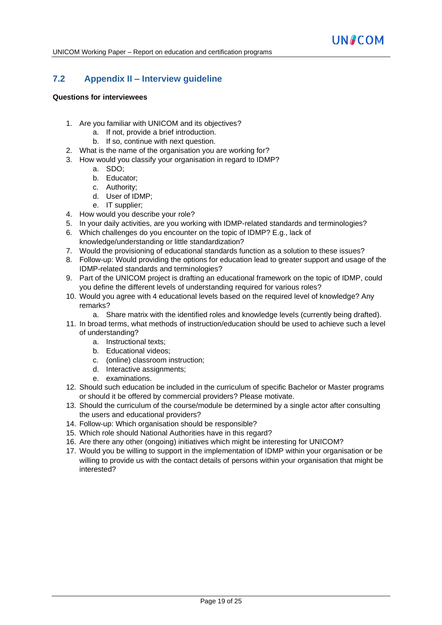# **7.2 Appendix II – Interview guideline**

#### **Questions for interviewees**

- 1. Are you familiar with UNICOM and its objectives?
	- a. If not, provide a brief introduction.
	- b. If so, continue with next question.
- 2. What is the name of the organisation you are working for?
- 3. How would you classify your organisation in regard to IDMP?
	- a. SDO;
	- b. Educator;
	- c. Authority;
	- d. User of IDMP;
	- e. IT supplier;
- 4. How would you describe your role?
- 5. In your daily activities, are you working with IDMP-related standards and terminologies?
- 6. Which challenges do you encounter on the topic of IDMP? E.g., lack of knowledge/understanding or little standardization?
- 7. Would the provisioning of educational standards function as a solution to these issues?
- 8. Follow-up: Would providing the options for education lead to greater support and usage of the IDMP-related standards and terminologies?
- 9. Part of the UNICOM project is drafting an educational framework on the topic of IDMP, could you define the different levels of understanding required for various roles?
- 10. Would you agree with 4 educational levels based on the required level of knowledge? Any remarks?
	- a. Share matrix with the identified roles and knowledge levels (currently being drafted).
- 11. In broad terms, what methods of instruction/education should be used to achieve such a level of understanding?
	- a. Instructional texts;
	- b. Educational videos;
	- c. (online) classroom instruction;
	- d. Interactive assignments;
	- e. examinations.
- 12. Should such education be included in the curriculum of specific Bachelor or Master programs or should it be offered by commercial providers? Please motivate.
- 13. Should the curriculum of the course/module be determined by a single actor after consulting the users and educational providers?
- 14. Follow-up: Which organisation should be responsible?
- 15. Which role should National Authorities have in this regard?
- 16. Are there any other (ongoing) initiatives which might be interesting for UNICOM?
- 17. Would you be willing to support in the implementation of IDMP within your organisation or be willing to provide us with the contact details of persons within your organisation that might be interested?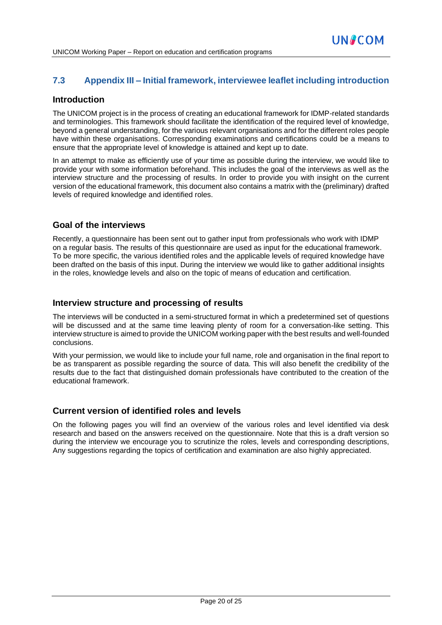# **7.3 Appendix III – Initial framework, interviewee leaflet including introduction**

# **Introduction**

The UNICOM project is in the process of creating an educational framework for IDMP-related standards and terminologies. This framework should facilitate the identification of the required level of knowledge, beyond a general understanding, for the various relevant organisations and for the different roles people have within these organisations. Corresponding examinations and certifications could be a means to ensure that the appropriate level of knowledge is attained and kept up to date.

In an attempt to make as efficiently use of your time as possible during the interview, we would like to provide your with some information beforehand. This includes the goal of the interviews as well as the interview structure and the processing of results. In order to provide you with insight on the current version of the educational framework, this document also contains a matrix with the (preliminary) drafted levels of required knowledge and identified roles.

# **Goal of the interviews**

Recently, a questionnaire has been sent out to gather input from professionals who work with IDMP on a regular basis. The results of this questionnaire are used as input for the educational framework. To be more specific, the various identified roles and the applicable levels of required knowledge have been drafted on the basis of this input. During the interview we would like to gather additional insights in the roles, knowledge levels and also on the topic of means of education and certification.

# **Interview structure and processing of results**

The interviews will be conducted in a semi-structured format in which a predetermined set of questions will be discussed and at the same time leaving plenty of room for a conversation-like setting. This interview structure is aimed to provide the UNICOM working paper with the best results and well-founded conclusions.

With your permission, we would like to include your full name, role and organisation in the final report to be as transparent as possible regarding the source of data. This will also benefit the credibility of the results due to the fact that distinguished domain professionals have contributed to the creation of the educational framework.

# **Current version of identified roles and levels**

On the following pages you will find an overview of the various roles and level identified via desk research and based on the answers received on the questionnaire. Note that this is a draft version so during the interview we encourage you to scrutinize the roles, levels and corresponding descriptions, Any suggestions regarding the topics of certification and examination are also highly appreciated.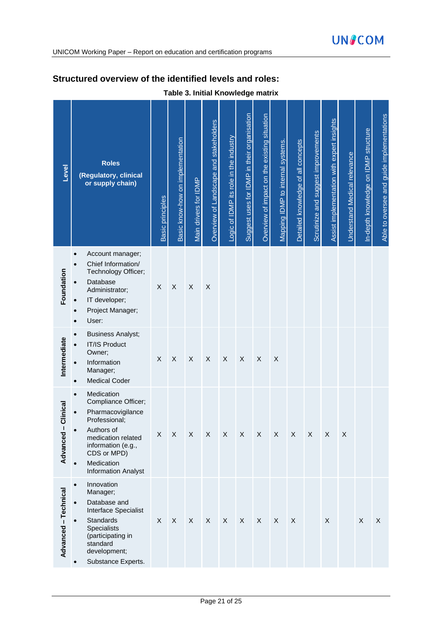# **Structured overview of the identified levels and roles:**

| Level                 | <b>Roles</b><br>(Regulatory, clinical<br>or supply chain)                                                                                                                                    | <b>Basic principles</b>   | Basic know-how on implementation | Main drivers for IDMP     | Overview of Landscape and stakeholders | Logic of IDMP its role in the industry | Suggest uses for IDMP in their organisation | Overview of impact on the existing situation | Mapping IDMP to internal systems. | Detailed knowledge of all concepts | Scrutinize and suggest improvements | Assist implementation with expert insights | Understand Medical relevance | In-depth knowledge on IDMP structure | Able to oversee and guide implementations |
|-----------------------|----------------------------------------------------------------------------------------------------------------------------------------------------------------------------------------------|---------------------------|----------------------------------|---------------------------|----------------------------------------|----------------------------------------|---------------------------------------------|----------------------------------------------|-----------------------------------|------------------------------------|-------------------------------------|--------------------------------------------|------------------------------|--------------------------------------|-------------------------------------------|
| Foundation            | Account manager;<br>Chief Information/<br>Technology Officer;<br>Database<br>Administrator;<br>IT developer;<br>Project Manager;<br>$\bullet$<br>User:<br>$\bullet$                          | $\boldsymbol{\mathsf{X}}$ | $\mathsf X$                      | $\mathsf X$               | $\sf X$                                |                                        |                                             |                                              |                                   |                                    |                                     |                                            |                              |                                      |                                           |
| Intermediate          | <b>Business Analyst;</b><br>IT/IS Product<br>Owner;<br>Information<br>Manager;<br><b>Medical Coder</b><br>$\bullet$                                                                          | X                         | $\sf X$                          | $\boldsymbol{\mathsf{X}}$ | $\sf X$                                | $\boldsymbol{\mathsf{X}}$              | $\boldsymbol{\mathsf{X}}$                   | X                                            | X                                 |                                    |                                     |                                            |                              |                                      |                                           |
| Clinical<br>Advanced- | Medication<br>Compliance Officer;<br>Pharmacovigilance<br>Professional;<br>Authors of<br>medication related<br>information (e.g.,<br>CDS or MPD)<br>Medication<br><b>Information Analyst</b> | X                         | $\sf X$                          | $\boldsymbol{\mathsf{X}}$ | X                                      | $\boldsymbol{\mathsf{X}}$              | $\boldsymbol{\mathsf{X}}$                   | $\boldsymbol{\mathsf{X}}$                    | X                                 | X                                  | X                                   | X                                          | $\mathsf X$                  |                                      |                                           |
| Advanced - Technical  | Innovation<br>$\bullet$<br>Manager;<br>Database and<br>Interface Specialist<br>Standards<br><b>Specialists</b><br>(participating in<br>standard<br>development;<br>Substance Experts.        | X                         | $\boldsymbol{\mathsf{X}}$        | X                         | $\boldsymbol{\mathsf{X}}$              | X                                      | $\boldsymbol{\mathsf{X}}$                   | X                                            | X                                 | X                                  |                                     | X                                          |                              | $\mathsf X$                          | X                                         |

# **Table 3. Initial Knowledge matrix**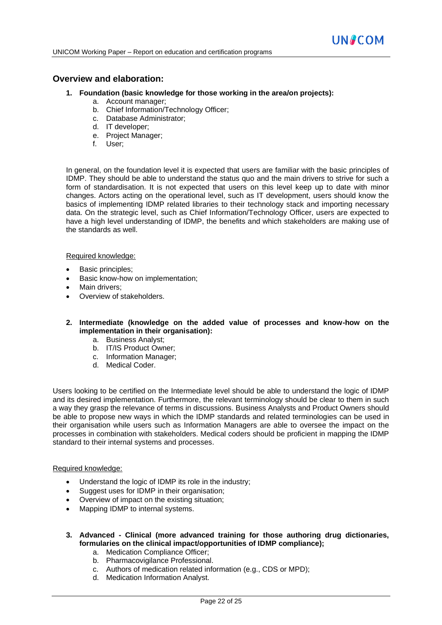#### **Overview and elaboration:**

- **1. Foundation (basic knowledge for those working in the area/on projects):**
	- a. Account manager;
	- b. Chief Information/Technology Officer;
	- c. Database Administrator;
	- d. IT developer;
	- e. Project Manager;
	- f. User;

In general, on the foundation level it is expected that users are familiar with the basic principles of IDMP. They should be able to understand the status quo and the main drivers to strive for such a form of standardisation. It is not expected that users on this level keep up to date with minor changes. Actors acting on the operational level, such as IT development, users should know the basics of implementing IDMP related libraries to their technology stack and importing necessary data. On the strategic level, such as Chief Information/Technology Officer, users are expected to have a high level understanding of IDMP, the benefits and which stakeholders are making use of the standards as well.

#### Required knowledge:

- Basic principles;
- Basic know-how on implementation;
- Main drivers:
- Overview of stakeholders.
- **2. Intermediate (knowledge on the added value of processes and know-how on the implementation in their organisation):**
	- a. Business Analyst;
	- b. IT/IS Product Owner;
	- c. Information Manager;
	- d. Medical Coder.

Users looking to be certified on the Intermediate level should be able to understand the logic of IDMP and its desired implementation. Furthermore, the relevant terminology should be clear to them in such a way they grasp the relevance of terms in discussions. Business Analysts and Product Owners should be able to propose new ways in which the IDMP standards and related terminologies can be used in their organisation while users such as Information Managers are able to oversee the impact on the processes in combination with stakeholders. Medical coders should be proficient in mapping the IDMP standard to their internal systems and processes.

#### Required knowledge:

- Understand the logic of IDMP its role in the industry;
- Suggest uses for IDMP in their organisation;
- Overview of impact on the existing situation;
- Mapping IDMP to internal systems.
- **3. Advanced - Clinical (more advanced training for those authoring drug dictionaries, formularies on the clinical impact/opportunities of IDMP compliance);**
	- a. Medication Compliance Officer;
	- b. Pharmacovigilance Professional.
	- c. Authors of medication related information (e.g., CDS or MPD);
	- d. Medication Information Analyst.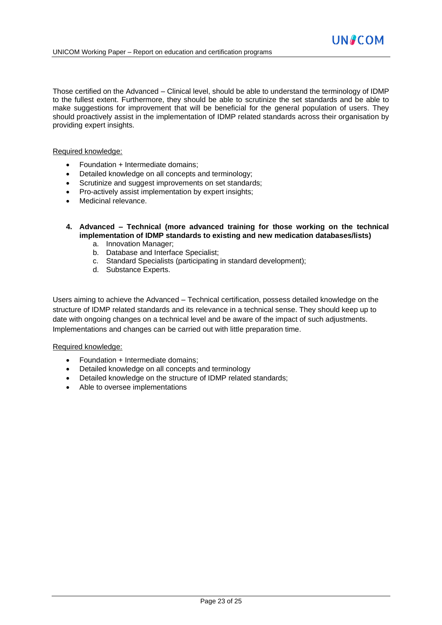Those certified on the Advanced – Clinical level, should be able to understand the terminology of IDMP to the fullest extent. Furthermore, they should be able to scrutinize the set standards and be able to make suggestions for improvement that will be beneficial for the general population of users. They should proactively assist in the implementation of IDMP related standards across their organisation by providing expert insights.

#### Required knowledge:

- Foundation + Intermediate domains;
- Detailed knowledge on all concepts and terminology;
- Scrutinize and suggest improvements on set standards;
- Pro-actively assist implementation by expert insights;
- Medicinal relevance.
- **4. Advanced – Technical (more advanced training for those working on the technical implementation of IDMP standards to existing and new medication databases/lists)** 
	- a. Innovation Manager;
	- b. Database and Interface Specialist;
	- c. Standard Specialists (participating in standard development);
	- d. Substance Experts.

Users aiming to achieve the Advanced – Technical certification, possess detailed knowledge on the structure of IDMP related standards and its relevance in a technical sense. They should keep up to date with ongoing changes on a technical level and be aware of the impact of such adjustments. Implementations and changes can be carried out with little preparation time.

#### Required knowledge:

- Foundation + Intermediate domains;
- Detailed knowledge on all concepts and terminology
- Detailed knowledge on the structure of IDMP related standards;
- Able to oversee implementations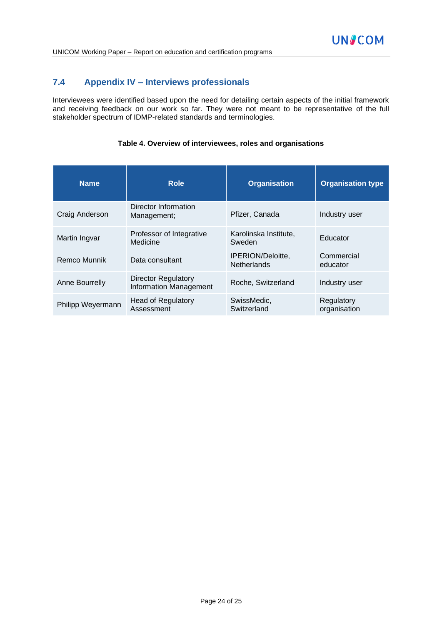# **7.4 Appendix IV – Interviews professionals**

Interviewees were identified based upon the need for detailing certain aspects of the initial framework and receiving feedback on our work so far. They were not meant to be representative of the full stakeholder spectrum of IDMP-related standards and terminologies.

#### **Table 4. Overview of interviewees, roles and organisations**

| <b>Name</b>       | <b>Role</b>                                                 | <b>Organisation</b>                     | <b>Organisation type</b>   |
|-------------------|-------------------------------------------------------------|-----------------------------------------|----------------------------|
| Craig Anderson    | Director Information<br>Management;                         | Pfizer, Canada                          | Industry user              |
| Martin Ingvar     | Professor of Integrative<br>Medicine                        | Karolinska Institute,<br>Sweden         | Educator                   |
| Remco Munnik      | Data consultant                                             | IPERION/Deloitte,<br><b>Netherlands</b> | Commercial<br>educator     |
| Anne Bourrelly    | <b>Director Regulatory</b><br><b>Information Management</b> | Roche, Switzerland                      | Industry user              |
| Philipp Weyermann | <b>Head of Regulatory</b><br>Assessment                     | SwissMedic,<br>Switzerland              | Regulatory<br>organisation |